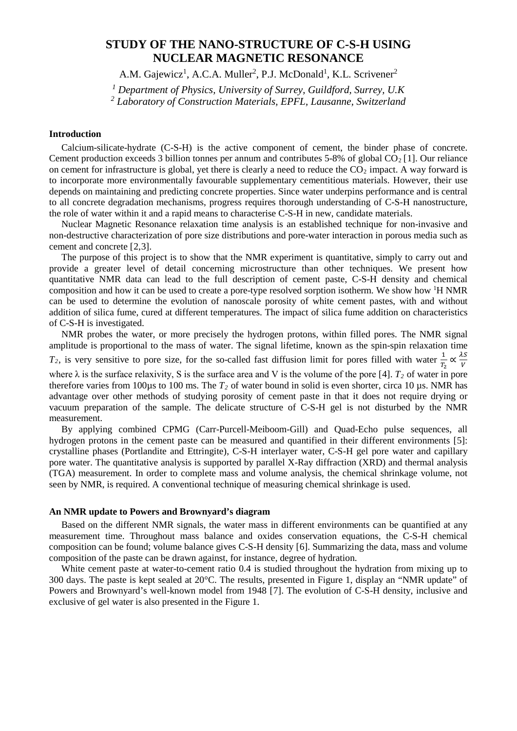# **STUDY OF THE NANO-STRUCTURE OF C-S-H USING NUCLEAR MAGNETIC RESONANCE**

A.M. Gajewicz<sup>1</sup>, A.C.A. Muller<sup>2</sup>, P.J. McDonald<sup>1</sup>, K.L. Scrivener<sup>2</sup>

*<sup>1</sup> Department of Physics, University of Surrey, Guildford, Surrey, U.K*

*<sup>2</sup> Laboratory of Construction Materials, EPFL, Lausanne, Switzerland*

# **Introduction**

Calcium-silicate-hydrate (C-S-H) is the active component of cement, the binder phase of concrete. Cement production exceeds 3 billion tonnes per annum and contributes 5-8% of global  $CO<sub>2</sub>$  [[1](#page-6-0)]. Our reliance on cement for infrastructure is global, yet there is clearly a need to reduce the  $CO<sub>2</sub>$  impact. A way forward is to incorporate more environmentally favourable supplementary cementitious materials. However, their use depends on maintaining and predicting concrete properties. Since water underpins performance and is central to all concrete degradation mechanisms, progress requires thorough understanding of C-S-H nanostructure, the role of water within it and a rapid means to characterise C-S-H in new, candidate materials.

Nuclear Magnetic Resonance relaxation time analysis is an established technique for non-invasive and non-destructive characterization of pore size distributions and pore-water interaction in porous media such as cement and concrete [[2](#page-6-1),[3](#page-6-2)].

The purpose of this project is to show that the NMR experiment is quantitative, simply to carry out and provide a greater level of detail concerning microstructure than other techniques. We present how quantitative NMR data can lead to the full description of cement paste, C-S-H density and chemical composition and how it can be used to create a pore-type resolved sorption isotherm. We show how <sup>1</sup>H NMR can be used to determine the evolution of nanoscale porosity of white cement pastes, with and without addition of silica fume, cured at different temperatures. The impact of silica fume addition on characteristics of C-S-H is investigated.

NMR probes the water, or more precisely the hydrogen protons, within filled pores. The NMR signal amplitude is proportional to the mass of water. The signal lifetime, known as the spin-spin relaxation time *T<sub>2</sub>*, is very sensitive to pore size, for the so-called fast diffusion limit for pores filled with water  $\frac{1}{T_2} \propto \frac{\lambda S}{V}$ V

<span id="page-0-3"></span>where  $\lambda$  is the surface relaxivity, S is the surface area and V is the volume of the pore [[4\]](#page-6-3).  $T_2$  of water in pore therefore varies from 100 $\mu$ s to 100 ms. The  $T_2$  of water bound in solid is even shorter, circa 10  $\mu$ s. NMR has advantage over other methods of studying porosity of cement paste in that it does not require drying or vacuum preparation of the sample. The delicate structure of C-S-H gel is not disturbed by the NMR measurement.

<span id="page-0-2"></span>By applying combined CPMG (Carr-Purcell-Meiboom-Gill) and Quad-Echo pulse sequences, all hydrogen protons in the cement paste can be measured and quantified in their different environments [[5\]](#page-6-4): crystalline phases (Portlandite and Ettringite), C-S-H interlayer water, C-S-H gel pore water and capillary pore water. The quantitative analysis is supported by parallel X-Ray diffraction (XRD) and thermal analysis (TGA) measurement. In order to complete mass and volume analysis, the chemical shrinkage volume, not seen by NMR, is required. A conventional technique of measuring chemical shrinkage is used.

#### **An NMR update to Powers and Brownyard's diagram**

<span id="page-0-0"></span>Based on the different NMR signals, the water mass in different environments can be quantified at any measurement time. Throughout mass balance and oxides conservation equations, the C-S-H chemical composition can be found; volume balance gives C-S-H density [[6\]](#page-6-5). Summarizing the data, mass and volume composition of the paste can be drawn against, for instance, degree of hydration.

<span id="page-0-1"></span>White cement paste at water-to-cement ratio 0.4 is studied throughout the hydration from mixing up to 300 days. The paste is kept sealed at 20°C. The results, presented in Figure 1, display an "NMR update" of Powers and Brownyard's well-known model from 1948 [[7](#page-6-6)]. The evolution of C-S-H density, inclusive and exclusive of gel water is also presented in the Figure 1.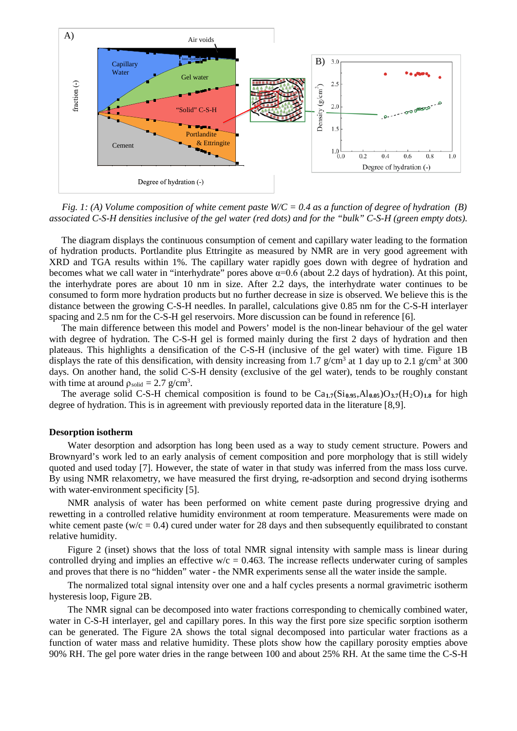

*Fig. 1: (A) Volume composition of white cement paste W/C = 0.4 as a function of degree of hydration (B) associated C-S-H densities inclusive of the gel water (red dots) and for the "bulk" C-S-H (green empty dots).*

The diagram displays the continuous consumption of cement and capillary water leading to the formation of hydration products. Portlandite plus Ettringite as measured by NMR are in very good agreement with XRD and TGA results within 1%. The capillary water rapidly goes down with degree of hydration and becomes what we call water in "interhydrate" pores above  $\alpha=0.6$  (about 2.2 days of hydration). At this point, the interhydrate pores are about 10 nm in size. After 2.2 days, the interhydrate water continues to be consumed to form more hydration products but no further decrease in size is observed. We believe this is the distance between the growing C-S-H needles. In parallel, calculations give 0.85 nm for the C-S-H interlayer spacing and 2.5 nm for the C-S-H gel reservoirs. More discussion can be found in reference [\[6\]](#page-0-0).

The main difference between this model and Powers' model is the non-linear behaviour of the gel water with degree of hydration. The C-S-H gel is formed mainly during the first 2 days of hydration and then plateaus. This highlights a densification of the C-S-H (inclusive of the gel water) with time. Figure 1B displays the rate of this densification, with density increasing from 1.7 g/cm<sup>3</sup> at 1 day up to 2.1 g/cm<sup>3</sup> at 300 days. On another hand, the solid C-S-H density (exclusive of the gel water), tends to be roughly constant with time at around  $\rho_{\text{solid}} = 2.7 \text{ g/cm}^3$ .

The average solid C-S-H chemical composition is found to be  $Ca_{1.7}(Si_{0.95}, Al_{0.05})O_{3.7}(H_2O)_{1.8}$  for high degree of hydration. This is in agreement with previously reported data in the literature [[8](#page-6-7),[9\]](#page-6-8).

#### **Desorption isotherm**

Water desorption and adsorption has long been used as a way to study cement structure. Powers and Brownyard's work led to an early analysis of cement composition and pore morphology that is still widely quoted and used today [\[7\]](#page-0-1). However, the state of water in that study was inferred from the mass loss curve. By using NMR relaxometry, we have measured the first drying, re-adsorption and second drying isotherms with water-environment specificity [\[5\]](#page-0-2).

NMR analysis of water has been performed on white cement paste during progressive drying and rewetting in a controlled relative humidity environment at room temperature. Measurements were made on white cement paste ( $w/c = 0.4$ ) cured under water for 28 days and then subsequently equilibrated to constant relative humidity.

Figure 2 (inset) shows that the loss of total NMR signal intensity with sample mass is linear during controlled drying and implies an effective  $w/c = 0.463$ . The increase reflects underwater curing of samples and proves that there is no "hidden" water - the NMR experiments sense all the water inside the sample.

The normalized total signal intensity over one and a half cycles presents a normal gravimetric isotherm hysteresis loop, Figure 2B.

The NMR signal can be decomposed into water fractions corresponding to chemically combined water, water in C-S-H interlayer, gel and capillary pores. In this way the first pore size specific sorption isotherm can be generated. The Figure 2A shows the total signal decomposed into particular water fractions as a function of water mass and relative humidity. These plots show how the capillary porosity empties above 90% RH. The gel pore water dries in the range between 100 and about 25% RH. At the same time the C-S-H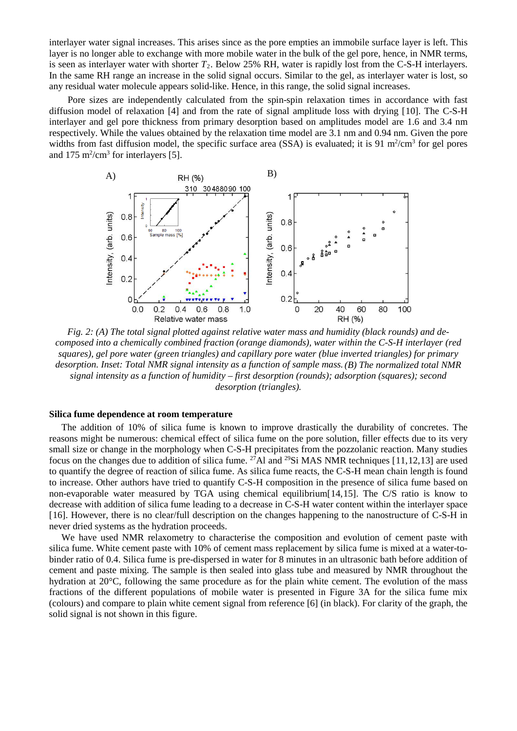interlayer water signal increases. This arises since as the pore empties an immobile surface layer is left. This layer is no longer able to exchange with more mobile water in the bulk of the gel pore, hence, in NMR terms, is seen as interlayer water with shorter  $T_2$ . Below 25% RH, water is rapidly lost from the C-S-H interlayers. In the same RH range an increase in the solid signal occurs. Similar to the gel, as interlayer water is lost, so any residual water molecule appears solid-like. Hence, in this range, the solid signal increases.

Pore sizes are independently calculated from the spin-spin relaxation times in accordance with fast diffusion model of relaxation [\[4\]](#page-0-3) and from the rate of signal amplitude loss with drying [[10](#page-6-9)]. The C-S-H interlayer and gel pore thickness from primary desorption based on amplitudes model are 1.6 and 3.4 nm respectively. While the values obtained by the relaxation time model are 3.1 nm and 0.94 nm. Given the pore widths from fast diffusion model, the specific surface area  $(SSA)$  is evaluated; it is 91 m<sup>2</sup>/cm<sup>3</sup> for gel pores and  $175 \text{ m}^2/\text{cm}^3$  for interlayers [\[5\]](#page-0-2).



*Fig. 2: (A) The total signal plotted against relative water mass and humidity (black rounds) and decomposed into a chemically combined fraction (orange diamonds), water within the C-S-H interlayer (red squares), gel pore water (green triangles) and capillary pore water (blue inverted triangles) for primary desorption. Inset: Total NMR signal intensity as a function of sample mass.(B) The normalized total NMR signal intensity as a function of humidity – first desorption (rounds); adsorption (squares); second desorption (triangles).*

## **Silica fume dependence at room temperature**

The addition of 10% of silica fume is known to improve drastically the durability of concretes. The reasons might be numerous: chemical effect of silica fume on the pore solution, filler effects due to its very small size or change in the morphology when C-S-H precipitates from the pozzolanic reaction. Many studies focus on the changes due to addition of silica fume. 27Al and 29Si MAS NMR techniques [[11,](#page-6-10)[12](#page-6-11),[13](#page-6-12)] are used to quantify the degree of reaction of silica fume. As silica fume reacts, the C-S-H mean chain length is found to increase. Other authors have tried to quantify C-S-H composition in the presence of silica fume based on non-evaporable water measured by TGA using chemical equilibrium[[14](#page-6-13),[15](#page-6-14)]. The C/S ratio is know to decrease with addition of silica fume leading to a decrease in C-S-H water content within the interlayer space [[16\]](#page-6-15). However, there is no clear/full description on the changes happening to the nanostructure of C-S-H in never dried systems as the hydration proceeds.

We have used NMR relaxometry to characterise the composition and evolution of cement paste with silica fume. White cement paste with 10% of cement mass replacement by silica fume is mixed at a water-tobinder ratio of 0.4. Silica fume is pre-dispersed in water for 8 minutes in an ultrasonic bath before addition of cement and paste mixing. The sample is then sealed into glass tube and measured by NMR throughout the hydration at 20°C, following the same procedure as for the plain white cement. The evolution of the mass fractions of the different populations of mobile water is presented in Figure 3A for the silica fume mix (colours) and compare to plain white cement signal from reference [\[6\]](#page-0-0) (in black). For clarity of the graph, the solid signal is not shown in this figure.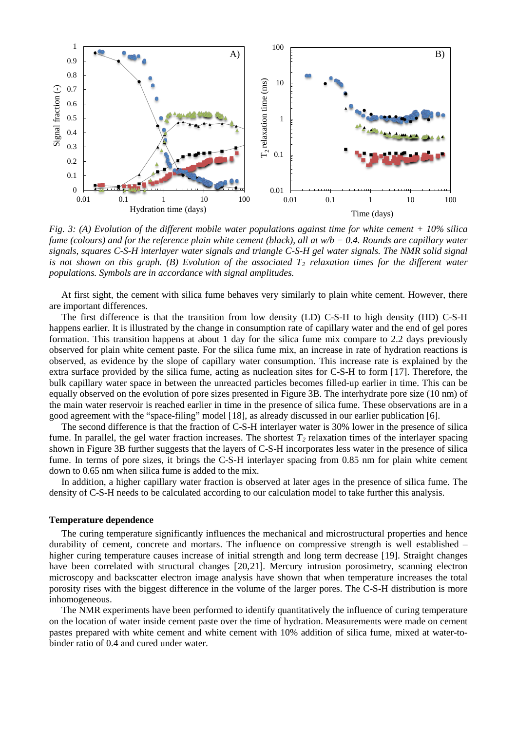

*Fig. 3: (A) Evolution of the different mobile water populations against time for white cement + 10% silica fume (colours) and for the reference plain white cement (black), all at w/b = 0.4. Rounds are capillary water signals, squares C-S-H interlayer water signals and triangle C-S-H gel water signals. The NMR solid signal*  is not shown on this graph.  $(B)$  *Evolution of the associated*  $T_2$  *relaxation times for the different water populations. Symbols are in accordance with signal amplitudes.*

At first sight, the cement with silica fume behaves very similarly to plain white cement. However, there are important differences.

The first difference is that the transition from low density (LD) C-S-H to high density (HD) C-S-H happens earlier. It is illustrated by the change in consumption rate of capillary water and the end of gel pores formation. This transition happens at about 1 day for the silica fume mix compare to 2.2 days previously observed for plain white cement paste. For the silica fume mix, an increase in rate of hydration reactions is observed, as evidence by the slope of capillary water consumption. This increase rate is explained by the extra surface provided by the silica fume, acting as nucleation sites for C-S-H to form [[17](#page-6-16)]. Therefore, the bulk capillary water space in between the unreacted particles becomes filled-up earlier in time. This can be equally observed on the evolution of pore sizes presented in Figure 3B. The interhydrate pore size (10 nm) of the main water reservoir is reached earlier in time in the presence of silica fume. These observations are in a good agreement with the "space-filing" model [[18](#page-6-17)], as already discussed in our earlier publication [\[6\]](#page-0-0).

The second difference is that the fraction of C-S-H interlayer water is 30% lower in the presence of silica fume. In parallel, the gel water fraction increases. The shortest  $T_2$  relaxation times of the interlayer spacing shown in Figure 3B further suggests that the layers of C-S-H incorporates less water in the presence of silica fume. In terms of pore sizes, it brings the C-S-H interlayer spacing from 0.85 nm for plain white cement down to 0.65 nm when silica fume is added to the mix.

In addition, a higher capillary water fraction is observed at later ages in the presence of silica fume. The density of C-S-H needs to be calculated according to our calculation model to take further this analysis.

## **Temperature dependence**

The curing temperature significantly influences the mechanical and microstructural properties and hence durability of cement, concrete and mortars. The influence on compressive strength is well established – higher curing temperature causes increase of initial strength and long term decrease [[19](#page-6-18)]. Straight changes have been correlated with structural changes [[20,](#page-6-19)[21\]](#page-6-20). Mercury intrusion porosimetry, scanning electron microscopy and backscatter electron image analysis have shown that when temperature increases the total porosity rises with the biggest difference in the volume of the larger pores. The C-S-H distribution is more inhomogeneous.

The NMR experiments have been performed to identify quantitatively the influence of curing temperature on the location of water inside cement paste over the time of hydration. Measurements were made on cement pastes prepared with white cement and white cement with 10% addition of silica fume, mixed at water-tobinder ratio of 0.4 and cured under water.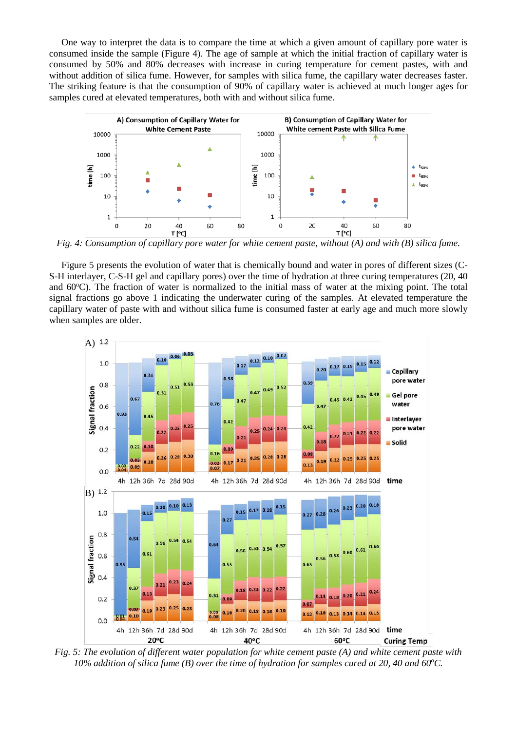One way to interpret the data is to compare the time at which a given amount of capillary pore water is consumed inside the sample (Figure 4). The age of sample at which the initial fraction of capillary water is consumed by 50% and 80% decreases with increase in curing temperature for cement pastes, with and without addition of silica fume. However, for samples with silica fume, the capillary water decreases faster. The striking feature is that the consumption of 90% of capillary water is achieved at much longer ages for samples cured at elevated temperatures, both with and without silica fume.



*Fig. 4: Consumption of capillary pore water for white cement paste, without (A) and with (B) silica fume.*

Figure 5 presents the evolution of water that is chemically bound and water in pores of different sizes (C-S-H interlayer, C-S-H gel and capillary pores) over the time of hydration at three curing temperatures (20, 40 and 60°C). The fraction of water is normalized to the initial mass of water at the mixing point. The total signal fractions go above 1 indicating the underwater curing of the samples. At elevated temperature the capillary water of paste with and without silica fume is consumed faster at early age and much more slowly when samples are older.



*Fig. 5: The evolution of different water population for white cement paste (A) and white cement paste with*  10% addition of silica fume (B) over the time of hydration for samples cured at 20, 40 and 60°C.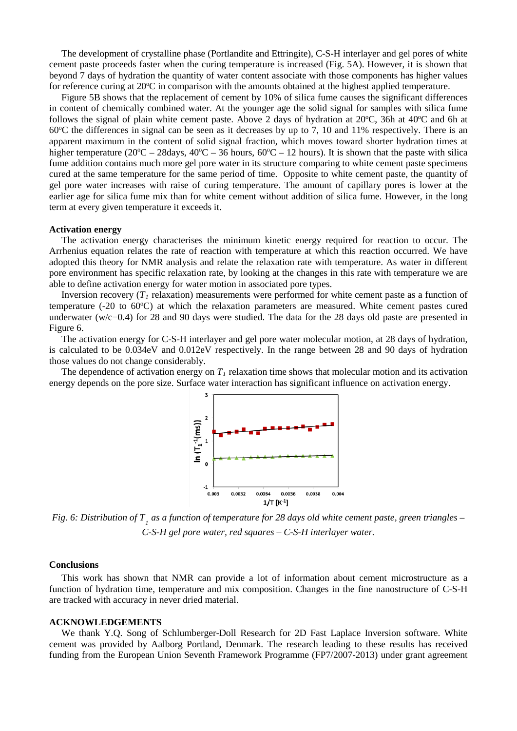The development of crystalline phase (Portlandite and Ettringite), C-S-H interlayer and gel pores of white cement paste proceeds faster when the curing temperature is increased (Fig. 5A). However, it is shown that beyond 7 days of hydration the quantity of water content associate with those components has higher values for reference curing at 20°C in comparison with the amounts obtained at the highest applied temperature.

Figure 5B shows that the replacement of cement by 10% of silica fume causes the significant differences in content of chemically combined water. At the younger age the solid signal for samples with silica fume follows the signal of plain white cement paste. Above 2 days of hydration at 20°C, 36h at 40°C and 6h at 60°C the differences in signal can be seen as it decreases by up to 7, 10 and 11% respectively. There is an apparent maximum in the content of solid signal fraction, which moves toward shorter hydration times at higher temperature  $(20^{\circ}C - 28 \text{days}, 40^{\circ}C - 36 \text{ hours}, 60^{\circ}C - 12 \text{ hours})$ . It is shown that the paste with silica fume addition contains much more gel pore water in its structure comparing to white cement paste specimens cured at the same temperature for the same period of time. Opposite to white cement paste, the quantity of gel pore water increases with raise of curing temperature. The amount of capillary pores is lower at the earlier age for silica fume mix than for white cement without addition of silica fume. However, in the long term at every given temperature it exceeds it.

#### **Activation energy**

The activation energy characterises the minimum kinetic energy required for reaction to occur. The Arrhenius equation relates the rate of reaction with temperature at which this reaction occurred. We have adopted this theory for NMR analysis and relate the relaxation rate with temperature. As water in different pore environment has specific relaxation rate, by looking at the changes in this rate with temperature we are able to define activation energy for water motion in associated pore types.

Inversion recovery  $(T_I)$  relaxation) measurements were performed for white cement paste as a function of temperature (-20 to 60°C) at which the relaxation parameters are measured. White cement pastes cured underwater (w/c=0.4) for 28 and 90 days were studied. The data for the 28 days old paste are presented in Figure 6.

The activation energy for C-S-H interlayer and gel pore water molecular motion, at 28 days of hydration, is calculated to be 0.034eV and 0.012eV respectively. In the range between 28 and 90 days of hydration those values do not change considerably.

The dependence of activation energy on  $T<sub>1</sub>$  relaxation time shows that molecular motion and its activation energy depends on the pore size. Surface water interaction has significant influence on activation energy.



*Fig. 6: Distribution of T <sup>1</sup> as a function of temperature for 28 days old white cement paste, green triangles – C-S-H gel pore water, red squares – C-S-H interlayer water.*

#### **Conclusions**

This work has shown that NMR can provide a lot of information about cement microstructure as a function of hydration time, temperature and mix composition. Changes in the fine nanostructure of C-S-H are tracked with accuracy in never dried material.

#### **ACKNOWLEDGEMENTS**

We thank Y.Q. Song of Schlumberger-Doll Research for 2D Fast Laplace Inversion software. White cement was provided by Aalborg Portland, Denmark. The research leading to these results has received funding from the European Union Seventh Framework Programme (FP7/2007-2013) under grant agreement